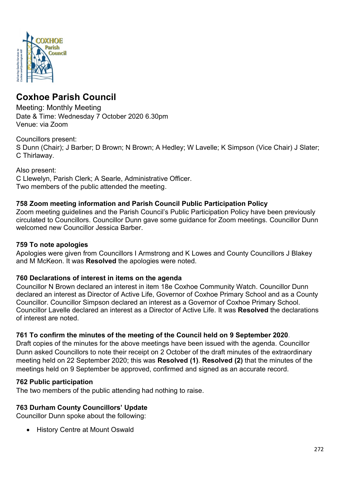

# **Coxhoe Parish Council**

Meeting: Monthly Meeting Date & Time: Wednesday 7 October 2020 6.30pm Venue: via Zoom

# Councillors present:

S Dunn (Chair); J Barber; D Brown; N Brown; A Hedley; W Lavelle; K Simpson (Vice Chair) J Slater; C Thirlaway.

Also present: C Llewelyn, Parish Clerk; A Searle, Administrative Officer. Two members of the public attended the meeting.

# **758 Zoom meeting information and Parish Council Public Participation Policy**

Zoom meeting guidelines and the Parish Council's Public Participation Policy have been previously circulated to Councillors. Councillor Dunn gave some guidance for Zoom meetings. Councillor Dunn welcomed new Councillor Jessica Barber.

## **759 To note apologies**

Apologies were given from Councillors I Armstrong and K Lowes and County Councillors J Blakey and M McKeon. It was **Resolved** the apologies were noted.

## **760 Declarations of interest in items on the agenda**

Councillor N Brown declared an interest in item 18e Coxhoe Community Watch. Councillor Dunn declared an interest as Director of Active Life, Governor of Coxhoe Primary School and as a County Councillor. Councillor Simpson declared an interest as a Governor of Coxhoe Primary School. Councillor Lavelle declared an interest as a Director of Active Life. It was **Resolved** the declarations of interest are noted.

## **761 To confirm the minutes of the meeting of the Council held on 9 September 2020**.

Draft copies of the minutes for the above meetings have been issued with the agenda. Councillor Dunn asked Councillors to note their receipt on 2 October of the draft minutes of the extraordinary meeting held on 22 September 2020; this was **Resolved (1)**. **Resolved (2)** that the minutes of the meetings held on 9 September be approved, confirmed and signed as an accurate record.

## **762 Public participation**

The two members of the public attending had nothing to raise.

## **763 Durham County Councillors' Update**

Councillor Dunn spoke about the following:

• History Centre at Mount Oswald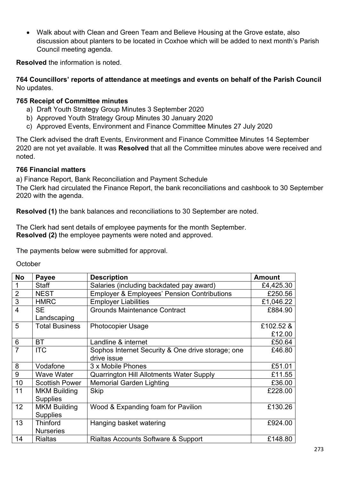• Walk about with Clean and Green Team and Believe Housing at the Grove estate, also discussion about planters to be located in Coxhoe which will be added to next month's Parish Council meeting agenda.

**Resolved** the information is noted.

#### **764 Councillors' reports of attendance at meetings and events on behalf of the Parish Council** No updates.

#### **765 Receipt of Committee minutes**

- a) Draft Youth Strategy Group Minutes 3 September 2020
- b) Approved Youth Strategy Group Minutes 30 January 2020
- c) Approved Events, Environment and Finance Committee Minutes 27 July 2020

The Clerk advised the draft Events, Environment and Finance Committee Minutes 14 September 2020 are not yet available. It was **Resolved** that all the Committee minutes above were received and noted.

#### **766 Financial matters**

a) Finance Report, Bank Reconciliation and Payment Schedule

The Clerk had circulated the Finance Report, the bank reconciliations and cashbook to 30 September 2020 with the agenda.

**Resolved (1)** the bank balances and reconciliations to 30 September are noted.

The Clerk had sent details of employee payments for the month September. **Resolved (2)** the employee payments were noted and approved.

The payments below were submitted for approval.

**October** 

| <b>No</b>      | <b>Payee</b>                                      | <b>Description</b>                                     | <b>Amount</b> |
|----------------|---------------------------------------------------|--------------------------------------------------------|---------------|
| 1              | <b>Staff</b>                                      | Salaries (including backdated pay award)               | £4,425.30     |
| $\overline{2}$ | <b>NEST</b>                                       | <b>Employer &amp; Employees' Pension Contributions</b> | £250.56       |
| $\overline{3}$ | <b>HMRC</b>                                       | <b>Employer Liabilities</b>                            | £1,046.22     |
| $\overline{4}$ | <b>SE</b>                                         | <b>Grounds Maintenance Contract</b>                    | £884.90       |
|                | Landscaping                                       |                                                        |               |
| 5              | <b>Total Business</b><br><b>Photocopier Usage</b> |                                                        | £102.52 &     |
|                |                                                   |                                                        | £12.00        |
| 6              | <b>BT</b>                                         | Landline & internet                                    | £50.64        |
| 7              | <b>ITC</b>                                        | Sophos Internet Security & One drive storage; one      | £46.80        |
|                |                                                   | drive issue                                            |               |
| 8              | Vodafone                                          | 3 x Mobile Phones                                      | £51.01        |
| 9              | Wave Water                                        | <b>Quarrington Hill Allotments Water Supply</b>        | £11.55        |
| 10             | <b>Scottish Power</b>                             | <b>Memorial Garden Lighting</b>                        | £36.00        |
| 11             | <b>MKM Building</b>                               | <b>Skip</b>                                            | £228.00       |
|                | <b>Supplies</b>                                   |                                                        |               |
| 12             | <b>MKM Building</b>                               | Wood & Expanding foam for Pavilion                     | £130.26       |
|                | <b>Supplies</b>                                   |                                                        |               |
| 13             | <b>Thinford</b>                                   | Hanging basket watering                                | £924.00       |
|                | <b>Nurseries</b>                                  |                                                        |               |
| 14             | <b>Rialtas</b>                                    | Rialtas Accounts Software & Support                    | £148.80       |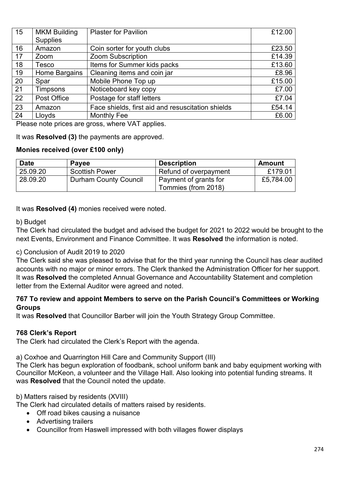| 15 | <b>MKM Building</b><br><b>Supplies</b> | <b>Plaster for Pavilion</b>                       | £12.00 |
|----|----------------------------------------|---------------------------------------------------|--------|
| 16 | Amazon                                 | Coin sorter for youth clubs                       | £23.50 |
| 17 | Zoom                                   | <b>Zoom Subscription</b>                          |        |
| 18 | Items for Summer kids packs<br>Tesco   |                                                   | £13.60 |
| 19 | Home Bargains                          | Cleaning items and coin jar                       | £8.96  |
| 20 | Spar                                   | Mobile Phone Top up                               | £15.00 |
| 21 | <b>Timpsons</b>                        | Noticeboard key copy                              | £7.00  |
| 22 | Post Office                            | Postage for staff letters                         | £7.04  |
| 23 | Amazon                                 | Face shields, first aid and resuscitation shields | £54.14 |
| 24 | Lloyds                                 | <b>Monthly Fee</b>                                | £6.00  |

Please note prices are gross, where VAT applies.

It was **Resolved (3)** the payments are approved.

#### **Monies received (over £100 only)**

| <b>Date</b> | <b>Payee</b>                 | <b>Description</b>    | <b>Amount</b> |
|-------------|------------------------------|-----------------------|---------------|
| 25.09.20    | <b>Scottish Power</b>        | Refund of overpayment | £179.01       |
| 28.09.20    | <b>Durham County Council</b> | Payment of grants for | £5,784.00     |
|             |                              | Tommies (from 2018)   |               |

It was **Resolved (4)** monies received were noted.

#### b) Budget

The Clerk had circulated the budget and advised the budget for 2021 to 2022 would be brought to the next Events, Environment and Finance Committee. It was **Resolved** the information is noted.

## c) Conclusion of Audit 2019 to 2020

The Clerk said she was pleased to advise that for the third year running the Council has clear audited accounts with no major or minor errors. The Clerk thanked the Administration Officer for her support. It was **Resolved** the completed Annual Governance and Accountability Statement and completion letter from the External Auditor were agreed and noted.

## **767 To review and appoint Members to serve on the Parish Council's Committees or Working Groups**

It was **Resolved** that Councillor Barber will join the Youth Strategy Group Committee.

## **768 Clerk's Report**

The Clerk had circulated the Clerk's Report with the agenda.

a) Coxhoe and Quarrington Hill Care and Community Support (III)

The Clerk has begun exploration of foodbank, school uniform bank and baby equipment working with Councillor McKeon, a volunteer and the Village Hall. Also looking into potential funding streams. It was **Resolved** that the Council noted the update.

# b) Matters raised by residents (XVIII)

The Clerk had circulated details of matters raised by residents.

- Off road bikes causing a nuisance
- Advertising trailers
- Councillor from Haswell impressed with both villages flower displays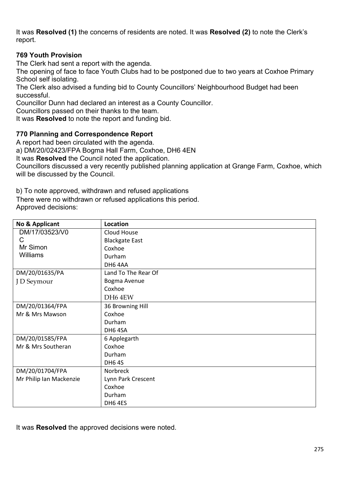It was **Resolved (1)** the concerns of residents are noted. It was **Resolved (2)** to note the Clerk's report.

## **769 Youth Provision**

The Clerk had sent a report with the agenda.

The opening of face to face Youth Clubs had to be postponed due to two years at Coxhoe Primary School self isolating.

The Clerk also advised a funding bid to County Councillors' Neighbourhood Budget had been successful.

Councillor Dunn had declared an interest as a County Councillor.

Councillors passed on their thanks to the team.

It was **Resolved** to note the report and funding bid.

## **770 Planning and Correspondence Report**

A report had been circulated with the agenda.

a) DM/20/02423/FPA Bogma Hall Farm, Coxhoe, DH6 4EN

It was **Resolved** the Council noted the application.

Councillors discussed a very recently published planning application at Grange Farm, Coxhoe, which will be discussed by the Council.

b) To note approved, withdrawn and refused applications

There were no withdrawn or refused applications this period. Approved decisions:

| No & Applicant          | Location              |
|-------------------------|-----------------------|
| DM/17/03523/V0          | Cloud House           |
| C                       | <b>Blackgate East</b> |
| Mr Simon                | Coxhoe                |
| Williams                | Durham                |
|                         | DH64AA                |
| DM/20/01635/PA          | Land To The Rear Of   |
| J D Seymour             | Bogma Avenue          |
|                         | Coxhoe                |
|                         | DH <sub>6</sub> 4EW   |
| DM/20/01364/FPA         | 36 Browning Hill      |
| Mr & Mrs Mawson         | Coxhoe                |
|                         | Durham                |
|                         | DH64SA                |
| DM/20/01585/FPA         | 6 Applegarth          |
| Mr & Mrs Southeran      | Coxhoe                |
|                         | Durham                |
|                         | <b>DH64S</b>          |
| DM/20/01704/FPA         | Norbreck              |
| Mr Philip Ian Mackenzie | Lynn Park Crescent    |
|                         | Coxhoe                |
|                         | Durham                |
|                         | DH64ES                |

It was **Resolved** the approved decisions were noted.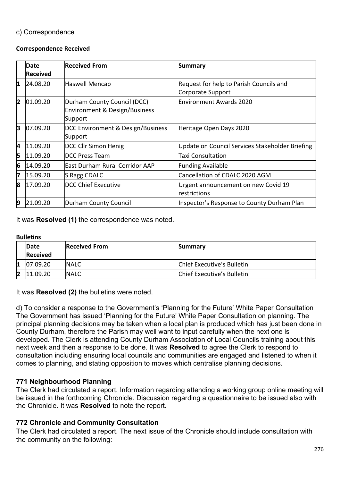## c) Correspondence

#### **Correspondence Received**

|   | Date            | <b>Received From</b>                                                               | Summary                                             |
|---|-----------------|------------------------------------------------------------------------------------|-----------------------------------------------------|
|   | <b>Received</b> |                                                                                    |                                                     |
| 1 | 24.08.20        | <b>Haswell Mencap</b>                                                              | Request for help to Parish Councils and             |
|   |                 |                                                                                    | Corporate Support                                   |
| 2 | 01.09.20        | Durham County Council (DCC)<br><b>Environment &amp; Design/Business</b><br>Support | Environment Awards 2020                             |
| 3 | 07.09.20        | DCC Environment & Design/Business<br>Support                                       | Heritage Open Days 2020                             |
| 4 | 11.09.20        | <b>DCC Cllr Simon Henig</b>                                                        | Update on Council Services Stakeholder Briefing     |
| 5 | 11.09.20        | <b>IDCC Press Team</b>                                                             | <b>Taxi Consultation</b>                            |
| 6 | 14.09.20        | <b>East Durham Rural Corridor AAP</b>                                              | <b>Funding Available</b>                            |
| 7 | 15.09.20        | S Ragg CDALC                                                                       | Cancellation of CDALC 2020 AGM                      |
| 8 | 17.09.20        | DCC Chief Executive                                                                | Urgent announcement on new Covid 19<br>restrictions |
| 9 | 21.09.20        | Durham County Council                                                              | Inspector's Response to County Durham Plan          |

It was **Resolved (1)** the correspondence was noted.

#### **Bulletins**

|    | Date<br><b>Received</b> | <b>Received From</b> | <b>Summary</b>             |
|----|-------------------------|----------------------|----------------------------|
| 11 | 07.09.20                | <b>INALC</b>         | Chief Executive's Bulletin |
| 12 | 11.09.20                | <b>INALC</b>         | Chief Executive's Bulletin |

It was **Resolved (2)** the bulletins were noted.

d) To consider a response to the Government's 'Planning for the Future' White Paper Consultation The Government has issued 'Planning for the Future' White Paper Consultation on planning. The principal planning decisions may be taken when a local plan is produced which has just been done in County Durham, therefore the Parish may well want to input carefully when the next one is developed. The Clerk is attending County Durham Association of Local Councils training about this next week and then a response to be done. It was **Resolved** to agree the Clerk to respond to consultation including ensuring local councils and communities are engaged and listened to when it comes to planning, and stating opposition to moves which centralise planning decisions.

#### **771 Neighbourhood Planning**

The Clerk had circulated a report. Information regarding attending a working group online meeting will be issued in the forthcoming Chronicle. Discussion regarding a questionnaire to be issued also with the Chronicle. It was **Resolved** to note the report.

#### **772 Chronicle and Community Consultation**

The Clerk had circulated a report. The next issue of the Chronicle should include consultation with the community on the following: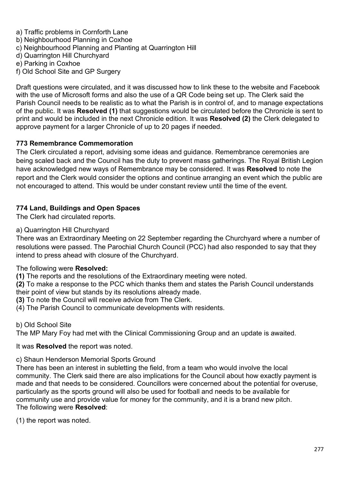- a) Traffic problems in Cornforth Lane
- b) Neighbourhood Planning in Coxhoe
- c) Neighbourhood Planning and Planting at Quarrington Hill
- d) Quarrington Hill Churchyard
- e) Parking in Coxhoe
- f) Old School Site and GP Surgery

Draft questions were circulated, and it was discussed how to link these to the website and Facebook with the use of Microsoft forms and also the use of a QR Code being set up. The Clerk said the Parish Council needs to be realistic as to what the Parish is in control of, and to manage expectations of the public. It was **Resolved (1)** that suggestions would be circulated before the Chronicle is sent to print and would be included in the next Chronicle edition. It was **Resolved (2)** the Clerk delegated to approve payment for a larger Chronicle of up to 20 pages if needed.

## **773 Remembrance Commemoration**

The Clerk circulated a report, advising some ideas and guidance. Remembrance ceremonies are being scaled back and the Council has the duty to prevent mass gatherings. The Royal British Legion have acknowledged new ways of Remembrance may be considered. It was **Resolved** to note the report and the Clerk would consider the options and continue arranging an event which the public are not encouraged to attend. This would be under constant review until the time of the event.

# **774 Land, Buildings and Open Spaces**

The Clerk had circulated reports.

## a) Quarrington Hill Churchyard

There was an Extraordinary Meeting on 22 September regarding the Churchyard where a number of resolutions were passed. The Parochial Church Council (PCC) had also responded to say that they intend to press ahead with closure of the Churchyard.

## The following were **Resolved:**

**(1)** The reports and the resolutions of the Extraordinary meeting were noted.

**(2)** To make a response to the PCC which thanks them and states the Parish Council understands their point of view but stands by its resolutions already made.

**(3)** To note the Council will receive advice from The Clerk.

(4) The Parish Council to communicate developments with residents.

## b) Old School Site

The MP Mary Foy had met with the Clinical Commissioning Group and an update is awaited.

## It was **Resolved** the report was noted.

c) Shaun Henderson Memorial Sports Ground

There has been an interest in subletting the field, from a team who would involve the local community. The Clerk said there are also implications for the Council about how exactly payment is made and that needs to be considered. Councillors were concerned about the potential for overuse, particularly as the sports ground will also be used for football and needs to be available for community use and provide value for money for the community, and it is a brand new pitch. The following were **Resolved**:

(1) the report was noted.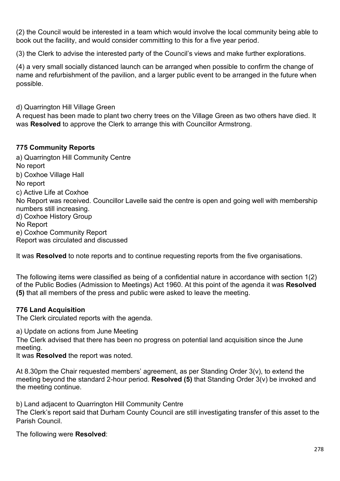(2) the Council would be interested in a team which would involve the local community being able to book out the facility, and would consider committing to this for a five year period.

(3) the Clerk to advise the interested party of the Council's views and make further explorations.

(4) a very small socially distanced launch can be arranged when possible to confirm the change of name and refurbishment of the pavilion, and a larger public event to be arranged in the future when possible.

d) Quarrington Hill Village Green

A request has been made to plant two cherry trees on the Village Green as two others have died. It was **Resolved** to approve the Clerk to arrange this with Councillor Armstrong.

## **775 Community Reports**

a) Quarrington Hill Community Centre No report b) Coxhoe Village Hall No report c) Active Life at Coxhoe No Report was received. Councillor Lavelle said the centre is open and going well with membership numbers still increasing. d) Coxhoe History Group No Report e) Coxhoe Community Report Report was circulated and discussed

It was **Resolved** to note reports and to continue requesting reports from the five organisations.

The following items were classified as being of a confidential nature in accordance with section 1(2) of the Public Bodies (Admission to Meetings) Act 1960. At this point of the agenda it was **Resolved (5)** that all members of the press and public were asked to leave the meeting.

## **776 Land Acquisition**

The Clerk circulated reports with the agenda.

a) Update on actions from June Meeting

The Clerk advised that there has been no progress on potential land acquisition since the June meeting.

It was **Resolved** the report was noted.

At 8.30pm the Chair requested members' agreement, as per Standing Order 3(v), to extend the meeting beyond the standard 2-hour period. **Resolved (5)** that Standing Order 3(v) be invoked and the meeting continue.

b) Land adjacent to Quarrington Hill Community Centre

The Clerk's report said that Durham County Council are still investigating transfer of this asset to the Parish Council.

The following were **Resolved**: